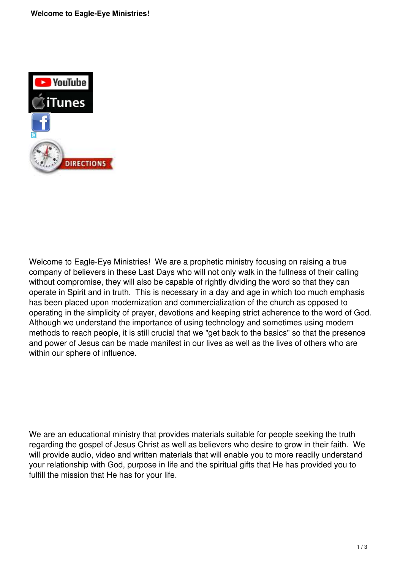

Welcome to Eagle-Eye Ministries! We are a prophetic ministry focusing on raising a true company of believers in these Last Days who will not only walk in the fullness of their calling without compromise, they will also be capable of rightly dividing the word so that they can operate in Spirit and in truth. This is necessary in a day and age in which too much emphasis has been placed upon modernization and commercialization of the church as opposed to operating in the simplicity of prayer, devotions and keeping strict adherence to the word of God. Although we understand the importance of using technology and sometimes using modern methods to reach people, it is still crucial that we "get back to the basics" so that the presence and power of Jesus can be made manifest in our lives as well as the lives of others who are within our sphere of influence.

We are an educational ministry that provides materials suitable for people seeking the truth regarding the gospel of Jesus Christ as well as believers who desire to grow in their faith. We will provide audio, video and written materials that will enable you to more readily understand your relationship with God, purpose in life and the spiritual gifts that He has provided you to fulfill the mission that He has for your life.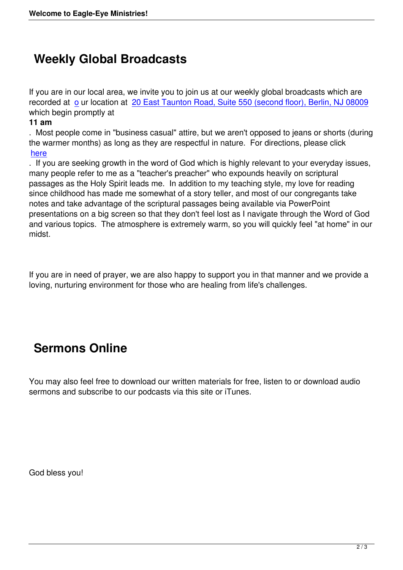## **Weekly Global Broadcasts**

If you are in our local area, we invite you to join us at our weekly global broadcasts which are recorded at o ur location at 20 East Taunton Road, Suite 550 (second floor), Berlin, NJ 08009 which begin promptly at

## **11 am**

. Most peop[le](index.php?option=com_content&view=article&id=7&Itemid=21) come in "busi[ness casual" attire, but we aren](https://www.google.com/maps/place/20+E+Taunton+Rd,+Berlin,+NJ+08009/@39.7715588,-74.9198751,17z/data=!3m1!4b1!4m5!3m4!1s0x89c12da983debb7b:0xec0c22a5284c0628!8m2!3d39.7717639!4d-74.9177716)'[t opposed to jeans or shorts \(durin](https://www.google.com/maps/place/20+E+Taunton+Rd,+Berlin,+NJ+08009/@39.7715588,-74.9198751,17z/data=!3m1!4b1!4m5!3m4!1s0x89c12da983debb7b:0xec0c22a5284c0628!8m2!3d39.7717639!4d-74.9177716)g the warmer months) as long as they are respectful in nature. For directions, please click here

. If you are seeking growth in the word of God which is highly relevant to your everyday issues, many people refer to me as a "teacher's preacher" who expounds heavily on scriptural [passa](https://www.google.com/maps/place/37+Clementon+Rd,+Berlin,+NJ+08009/@39.7994532,-74.941762,17z/data=!3m1!4b1!4m5!3m4!1s0x89c12d661969496f:0xa04b785dbc706daf!8m2!3d39.7994532!4d-74.9395733)ges as the Holy Spirit leads me. In addition to my teaching style, my love for reading since childhood has made me somewhat of a story teller, and most of our congregants take notes and take advantage of the scriptural passages being available via PowerPoint presentations on a big screen so that they don't feel lost as I navigate through the Word of God and various topics. The atmosphere is extremely warm, so you will quickly feel "at home" in our midst.

If you are in need of prayer, we are also happy to support you in that manner and we provide a loving, nurturing environment for those who are healing from life's challenges.

## **Sermons Online**

You may also feel free to download our written materials for free, listen to or download audio sermons and subscribe to our podcasts via this site or iTunes.

God bless you!